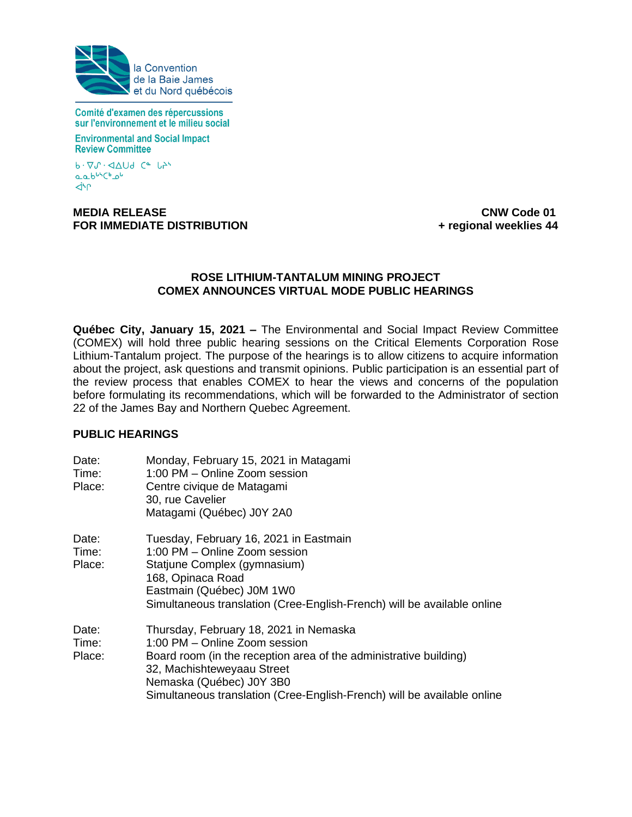

Comité d'examen des répercussions sur l'environnement et le milieu social

**Environmental and Social Impact Review Committee** 

 $b \cdot \nabla \mathcal{N} \cdot \Delta \Delta U d$  Ce  $L^{\Delta}$ aab<sup>us</sup>Chou **dhr** 

#### **MEDIA RELEASE CNW Code 01 FOR IMMEDIATE DISTRIBUTION 1989 TO REFERENT AT A 44 + regional weeklies 44**

#### **ROSE LITHIUM-TANTALUM MINING PROJECT COMEX ANNOUNCES VIRTUAL MODE PUBLIC HEARINGS**

**Québec City, January 15, 2021 –** The Environmental and Social Impact Review Committee (COMEX) will hold three public hearing sessions on the Critical Elements Corporation Rose Lithium-Tantalum project. The purpose of the hearings is to allow citizens to acquire information about the project, ask questions and transmit opinions. Public participation is an essential part of the review process that enables COMEX to hear the views and concerns of the population before formulating its recommendations, which will be forwarded to the Administrator of section 22 of the James Bay and Northern Quebec Agreement.

# **PUBLIC HEARINGS**

| Date:<br>Time:<br>Place: | Monday, February 15, 2021 in Matagami<br>1:00 PM – Online Zoom session<br>Centre civique de Matagami<br>30, rue Cavelier<br>Matagami (Québec) J0Y 2A0                                                                                                                             |
|--------------------------|-----------------------------------------------------------------------------------------------------------------------------------------------------------------------------------------------------------------------------------------------------------------------------------|
| Date:<br>Time:<br>Place: | Tuesday, February 16, 2021 in Eastmain<br>1:00 PM – Online Zoom session<br>Statjune Complex (gymnasium)<br>168, Opinaca Road<br>Eastmain (Québec) J0M 1W0<br>Simultaneous translation (Cree-English-French) will be available online                                              |
| Date:<br>Time:<br>Place: | Thursday, February 18, 2021 in Nemaska<br>1:00 PM - Online Zoom session<br>Board room (in the reception area of the administrative building)<br>32, Machishteweyaau Street<br>Nemaska (Québec) J0Y 3B0<br>Simultaneous translation (Cree-English-French) will be available online |